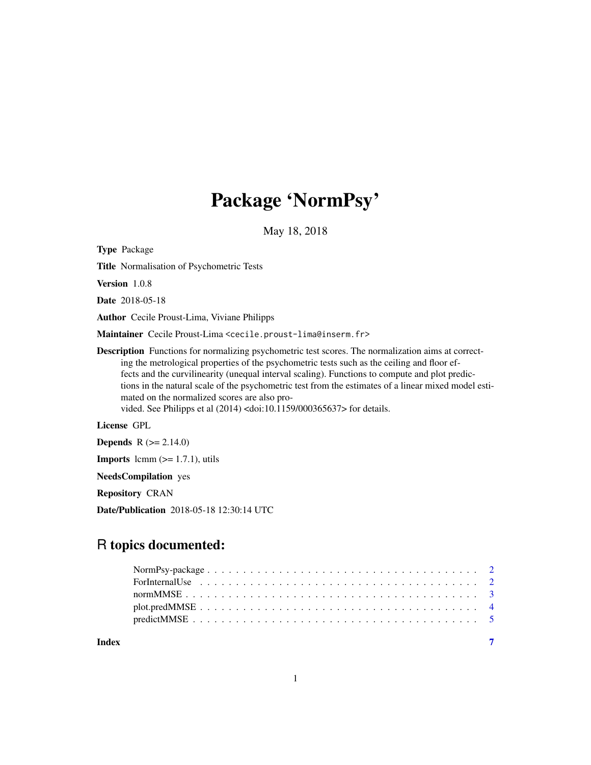## Package 'NormPsy'

May 18, 2018

Type Package

Title Normalisation of Psychometric Tests

Version 1.0.8

Date 2018-05-18

Author Cecile Proust-Lima, Viviane Philipps

Maintainer Cecile Proust-Lima <cecile.proust-lima@inserm.fr>

Description Functions for normalizing psychometric test scores. The normalization aims at correcting the metrological properties of the psychometric tests such as the ceiling and floor effects and the curvilinearity (unequal interval scaling). Functions to compute and plot predictions in the natural scale of the psychometric test from the estimates of a linear mixed model estimated on the normalized scores are also provided. See Philipps et al (2014) <doi:10.1159/000365637> for details.

License GPL

**Depends** R  $(>= 2.14.0)$ 

**Imports** lcmm  $(>= 1.7.1)$ , utils

NeedsCompilation yes

Repository CRAN

Date/Publication 2018-05-18 12:30:14 UTC

### R topics documented:

| Index |  |  |  |  |  |  |  |  |  |  |  |  |  |  |  |
|-------|--|--|--|--|--|--|--|--|--|--|--|--|--|--|--|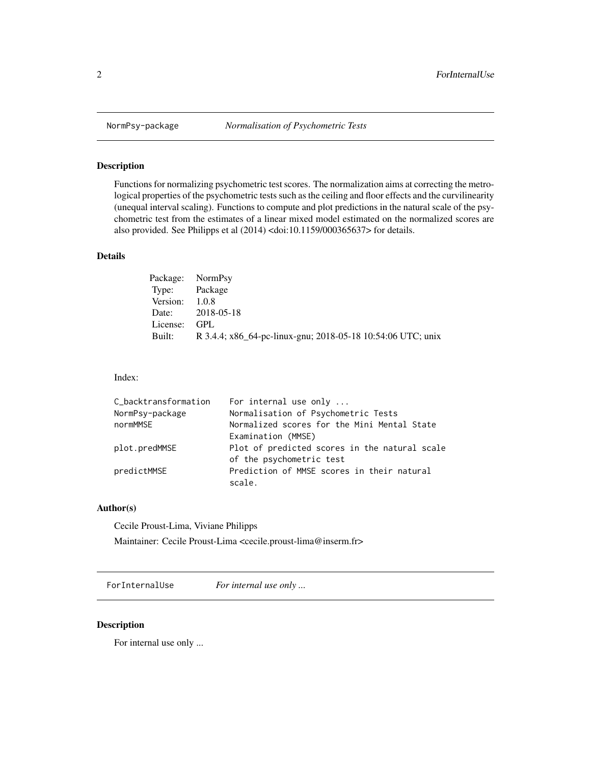#### Description

Functions for normalizing psychometric test scores. The normalization aims at correcting the metrological properties of the psychometric tests such as the ceiling and floor effects and the curvilinearity (unequal interval scaling). Functions to compute and plot predictions in the natural scale of the psychometric test from the estimates of a linear mixed model estimated on the normalized scores are also provided. See Philipps et al (2014) <doi:10.1159/000365637> for details.

#### Details

|                | Package: NormPsy                                            |
|----------------|-------------------------------------------------------------|
| Type: Package  |                                                             |
| Version: 1.0.8 |                                                             |
|                | Date: 2018-05-18                                            |
| License:       | GPL.                                                        |
| Built:         | R 3.4.4; x86_64-pc-linux-gnu; 2018-05-18 10:54:06 UTC; unix |

#### Index:

| C_backtransformation | For internal use only                         |
|----------------------|-----------------------------------------------|
| NormPsy-package      | Normalisation of Psychometric Tests           |
| normMMSE             | Normalized scores for the Mini Mental State   |
|                      | Examination (MMSE)                            |
| plot.predMMSE        | Plot of predicted scores in the natural scale |
|                      | of the psychometric test                      |
| predictMMSE          | Prediction of MMSE scores in their natural    |
|                      | scale.                                        |

#### Author(s)

Cecile Proust-Lima, Viviane Philipps

Maintainer: Cecile Proust-Lima <cecile.proust-lima@inserm.fr>

ForInternalUse *For internal use only ...*

#### Description

For internal use only ...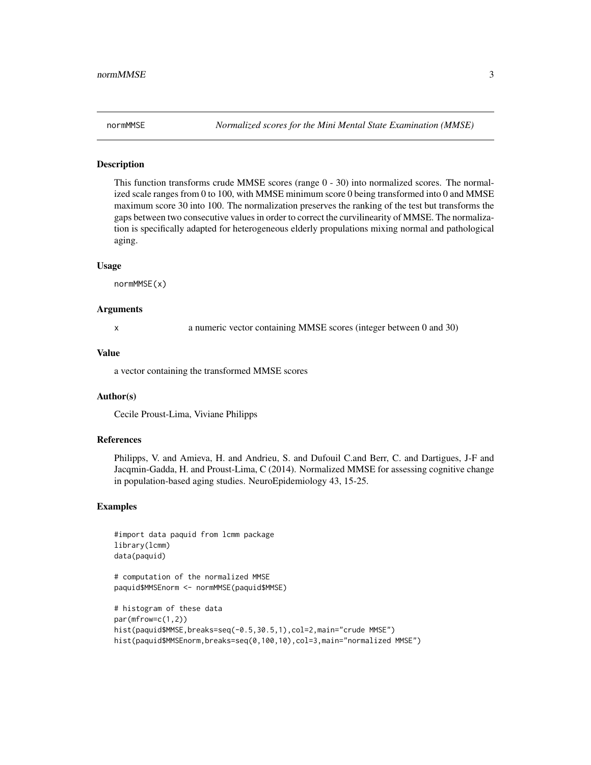#### Description

This function transforms crude MMSE scores (range  $0 - 30$ ) into normalized scores. The normalized scale ranges from 0 to 100, with MMSE minimum score 0 being transformed into 0 and MMSE maximum score 30 into 100. The normalization preserves the ranking of the test but transforms the gaps between two consecutive values in order to correct the curvilinearity of MMSE. The normalization is specifically adapted for heterogeneous elderly propulations mixing normal and pathological aging.

#### Usage

normMMSE(x)

#### Arguments

x a numeric vector containing MMSE scores (integer between 0 and 30)

#### Value

a vector containing the transformed MMSE scores

#### Author(s)

Cecile Proust-Lima, Viviane Philipps

#### References

Philipps, V. and Amieva, H. and Andrieu, S. and Dufouil C.and Berr, C. and Dartigues, J-F and Jacqmin-Gadda, H. and Proust-Lima, C (2014). Normalized MMSE for assessing cognitive change in population-based aging studies. NeuroEpidemiology 43, 15-25.

#### Examples

```
#import data paquid from lcmm package
library(lcmm)
data(paquid)
```

```
# computation of the normalized MMSE
paquid$MMSEnorm <- normMMSE(paquid$MMSE)
```

```
# histogram of these data
par(mfrow=c(1,2))
hist(paquid$MMSE,breaks=seq(-0.5,30.5,1),col=2,main="crude MMSE")
hist(paquid$MMSEnorm,breaks=seq(0,100,10),col=3,main="normalized MMSE")
```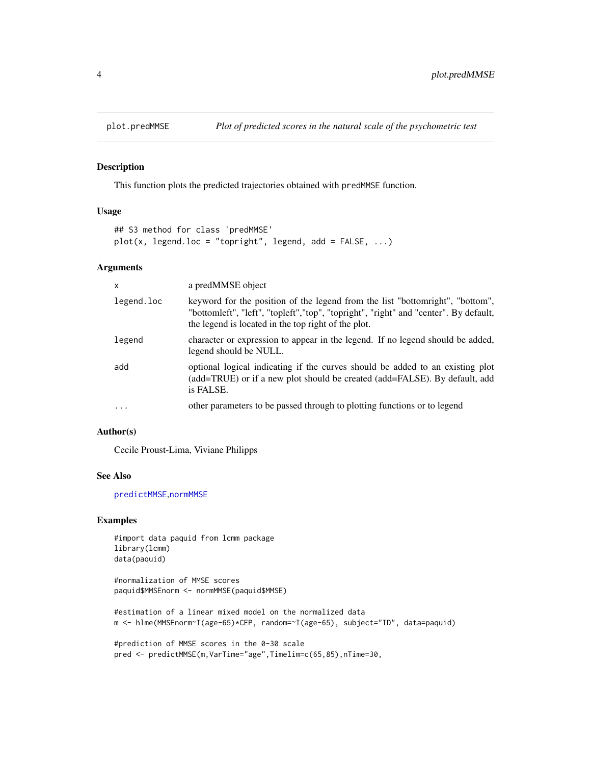<span id="page-3-1"></span><span id="page-3-0"></span>

#### Description

This function plots the predicted trajectories obtained with predMMSE function.

#### Usage

```
## S3 method for class 'predMMSE'
plot(x, legend.loc = "topright", legend, add = FALSE, ...)
```
#### Arguments

| $\boldsymbol{\mathsf{x}}$ | a predMMSE object                                                                                                                                                                                                             |
|---------------------------|-------------------------------------------------------------------------------------------------------------------------------------------------------------------------------------------------------------------------------|
| legend.loc                | keyword for the position of the legend from the list "bottomright", "bottom",<br>"bottomleft", "left", "topleft", "top", "topright", "right" and "center". By default,<br>the legend is located in the top right of the plot. |
| legend                    | character or expression to appear in the legend. If no legend should be added,<br>legend should be NULL.                                                                                                                      |
| add                       | optional logical indicating if the curves should be added to an existing plot<br>(add=TRUE) or if a new plot should be created (add=FALSE). By default, add<br>is FALSE.                                                      |
| $\ddotsc$                 | other parameters to be passed through to plotting functions or to legend                                                                                                                                                      |

#### Author(s)

Cecile Proust-Lima, Viviane Philipps

#### See Also

[predictMMSE](#page-4-1),[normMMSE](#page-2-1)

#### Examples

#import data paquid from lcmm package library(lcmm) data(paquid)

#normalization of MMSE scores paquid\$MMSEnorm <- normMMSE(paquid\$MMSE)

#estimation of a linear mixed model on the normalized data m <- hlme(MMSEnorm~I(age-65)\*CEP, random=~I(age-65), subject="ID", data=paquid)

```
#prediction of MMSE scores in the 0-30 scale
pred <- predictMMSE(m,VarTime="age",Timelim=c(65,85),nTime=30,
```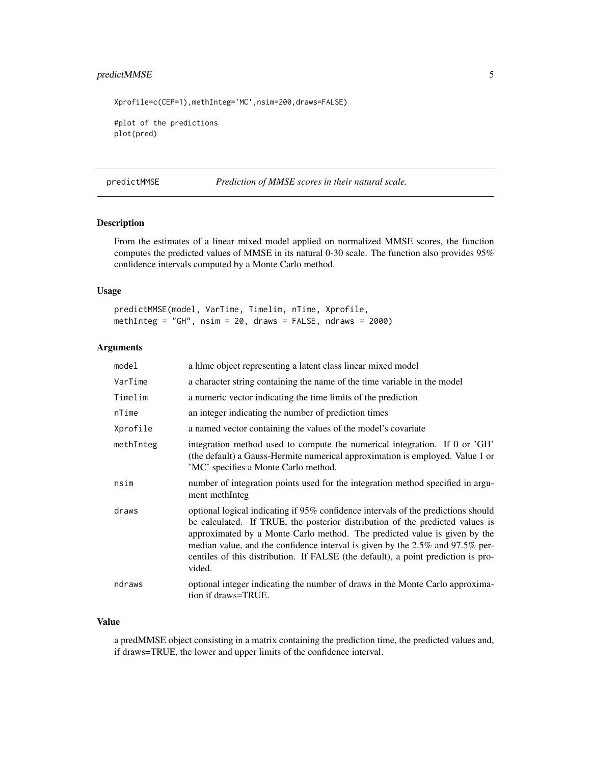#### <span id="page-4-0"></span>predictMMSE 5

Xprofile=c(CEP=1),methInteg='MC',nsim=200,draws=FALSE)

#plot of the predictions plot(pred)

<span id="page-4-1"></span>predictMMSE *Prediction of MMSE scores in their natural scale.*

#### Description

From the estimates of a linear mixed model applied on normalized MMSE scores, the function computes the predicted values of MMSE in its natural 0-30 scale. The function also provides 95% confidence intervals computed by a Monte Carlo method.

#### Usage

predictMMSE(model, VarTime, Timelim, nTime, Xprofile, methInteg = "GH",  $nsim = 20$ , draws = FALSE,  $ndraws = 2000$ )

#### Arguments

| model     | a hlme object representing a latent class linear mixed model                                                                                                                                                                                                                                                                                                                                                                    |
|-----------|---------------------------------------------------------------------------------------------------------------------------------------------------------------------------------------------------------------------------------------------------------------------------------------------------------------------------------------------------------------------------------------------------------------------------------|
| VarTime   | a character string containing the name of the time variable in the model                                                                                                                                                                                                                                                                                                                                                        |
| Timelim   | a numeric vector indicating the time limits of the prediction                                                                                                                                                                                                                                                                                                                                                                   |
| nTime     | an integer indicating the number of prediction times                                                                                                                                                                                                                                                                                                                                                                            |
| Xprofile  | a named vector containing the values of the model's covariate                                                                                                                                                                                                                                                                                                                                                                   |
| methInteg | integration method used to compute the numerical integration. If 0 or 'GH'<br>(the default) a Gauss-Hermite numerical approximation is employed. Value 1 or<br>'MC' specifies a Monte Carlo method.                                                                                                                                                                                                                             |
| nsim      | number of integration points used for the integration method specified in argu-<br>ment methInteg                                                                                                                                                                                                                                                                                                                               |
| draws     | optional logical indicating if 95% confidence intervals of the predictions should<br>be calculated. If TRUE, the posterior distribution of the predicted values is<br>approximated by a Monte Carlo method. The predicted value is given by the<br>median value, and the confidence interval is given by the 2.5% and 97.5% per-<br>centiles of this distribution. If FALSE (the default), a point prediction is pro-<br>vided. |
| ndraws    | optional integer indicating the number of draws in the Monte Carlo approxima-<br>tion if draws=TRUE.                                                                                                                                                                                                                                                                                                                            |

#### Value

a predMMSE object consisting in a matrix containing the prediction time, the predicted values and, if draws=TRUE, the lower and upper limits of the confidence interval.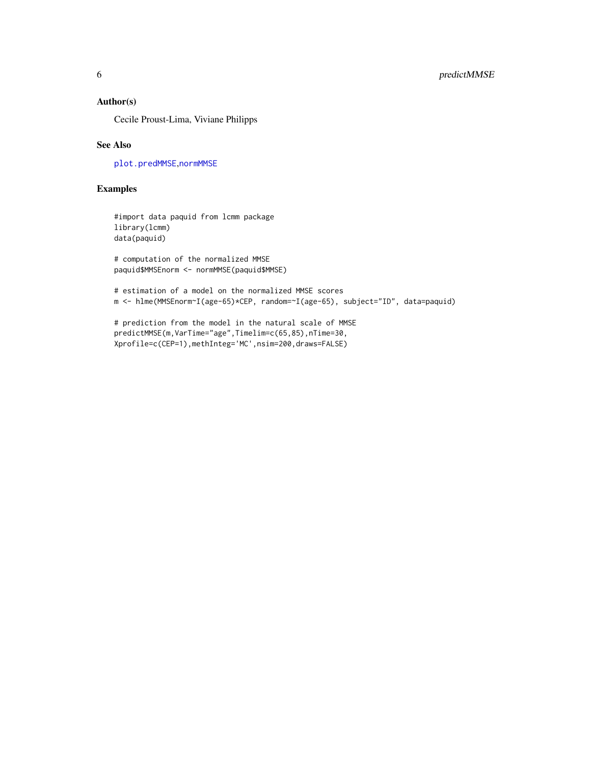#### <span id="page-5-0"></span>Author(s)

Cecile Proust-Lima, Viviane Philipps

#### See Also

[plot.predMMSE](#page-3-1),[normMMSE](#page-2-1)

#### Examples

#import data paquid from lcmm package library(lcmm) data(paquid)

# computation of the normalized MMSE paquid\$MMSEnorm <- normMMSE(paquid\$MMSE)

# estimation of a model on the normalized MMSE scores m <- hlme(MMSEnorm~I(age-65)\*CEP, random=~I(age-65), subject="ID", data=paquid)

# prediction from the model in the natural scale of MMSE predictMMSE(m,VarTime="age",Timelim=c(65,85),nTime=30, Xprofile=c(CEP=1),methInteg='MC',nsim=200,draws=FALSE)